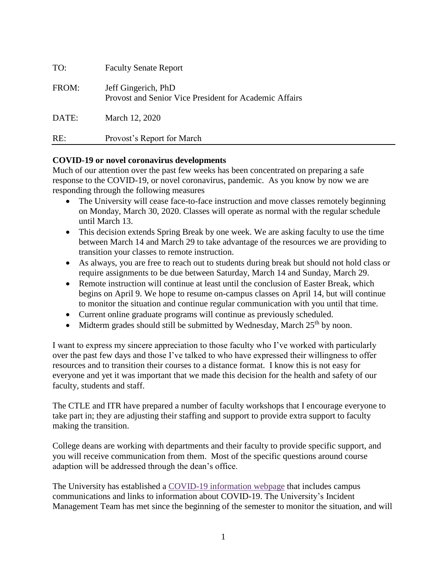| TO:   | <b>Faculty Senate Report</b>                                                  |
|-------|-------------------------------------------------------------------------------|
| FROM: | Jeff Gingerich, PhD<br>Provost and Senior Vice President for Academic Affairs |
| DATE: | March 12, 2020                                                                |
| RE:   | Provost's Report for March                                                    |

# **COVID-19 or novel coronavirus developments**

Much of our attention over the past few weeks has been concentrated on preparing a safe response to the COVID-19, or novel coronavirus, pandemic. As you know by now we are responding through the following measures

- The University will cease face-to-face instruction and move classes remotely beginning on Monday, March 30, 2020. Classes will operate as normal with the regular schedule until March 13.
- This decision extends Spring Break by one week. We are asking faculty to use the time between March 14 and March 29 to take advantage of the resources we are providing to transition your classes to remote instruction.
- As always, you are free to reach out to students during break but should not hold class or require assignments to be due between Saturday, March 14 and Sunday, March 29.
- Remote instruction will continue at least until the conclusion of Easter Break, which begins on April 9. We hope to resume on-campus classes on April 14, but will continue to monitor the situation and continue regular communication with you until that time.
- Current online graduate programs will continue as previously scheduled.
- $\bullet$  Midterm grades should still be submitted by Wednesday, March 25<sup>th</sup> by noon.

I want to express my sincere appreciation to those faculty who I've worked with particularly over the past few days and those I've talked to who have expressed their willingness to offer resources and to transition their courses to a distance format. I know this is not easy for everyone and yet it was important that we made this decision for the health and safety of our faculty, students and staff.

The CTLE and ITR have prepared a number of faculty workshops that I encourage everyone to take part in; they are adjusting their staffing and support to provide extra support to faculty making the transition.

College deans are working with departments and their faculty to provide specific support, and you will receive communication from them. Most of the specific questions around course adaption will be addressed through the dean's office.

The University has established a COVID-19 [information](http://www.scranton.edu/covid-19) webpage that includes campus communications and links to information about COVID-19. The University's Incident Management Team has met since the beginning of the semester to monitor the situation, and will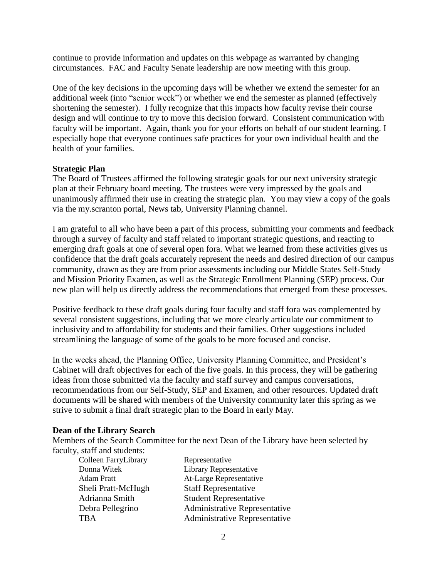continue to provide information and updates on this webpage as warranted by changing circumstances. FAC and Faculty Senate leadership are now meeting with this group.

One of the key decisions in the upcoming days will be whether we extend the semester for an additional week (into "senior week") or whether we end the semester as planned (effectively shortening the semester). I fully recognize that this impacts how faculty revise their course design and will continue to try to move this decision forward. Consistent communication with faculty will be important. Again, thank you for your efforts on behalf of our student learning. I especially hope that everyone continues safe practices for your own individual health and the health of your families.

### **Strategic Plan**

The Board of Trustees affirmed the following strategic goals for our next university strategic plan at their February board meeting. The trustees were very impressed by the goals and unanimously affirmed their use in creating the strategic plan. You may view a copy of the goals via the my.scranton portal, News tab, University Planning channel.

I am grateful to all who have been a part of this process, submitting your comments and feedback through a survey of faculty and staff related to important strategic questions, and reacting to emerging draft goals at one of several open fora. What we learned from these activities gives us confidence that the draft goals accurately represent the needs and desired direction of our campus community, drawn as they are from prior assessments including our Middle States Self-Study and Mission Priority Examen, as well as the Strategic Enrollment Planning (SEP) process. Our new plan will help us directly address the recommendations that emerged from these processes.

Positive feedback to these draft goals during four faculty and staff fora was complemented by several consistent suggestions, including that we more clearly articulate our commitment to inclusivity and to affordability for students and their families. Other suggestions included streamlining the language of some of the goals to be more focused and concise.

In the weeks ahead, the Planning Office, University Planning Committee, and President's Cabinet will draft objectives for each of the five goals. In this process, they will be gathering ideas from those submitted via the faculty and staff survey and campus conversations, recommendations from our Self-Study, SEP and Examen, and other resources. Updated draft documents will be shared with members of the University community later this spring as we strive to submit a final draft strategic plan to the Board in early May.

### **Dean of the Library Search**

Members of the Search Committee for the next Dean of the Library have been selected by faculty, staff and students:

Colleen FarryLibrary Representative

Donna Witek Library Representative Adam Pratt At-Large Representative Sheli Pratt-McHugh Staff Representative Adrianna Smith Student Representative Debra Pellegrino Administrative Representative TBA Administrative Representative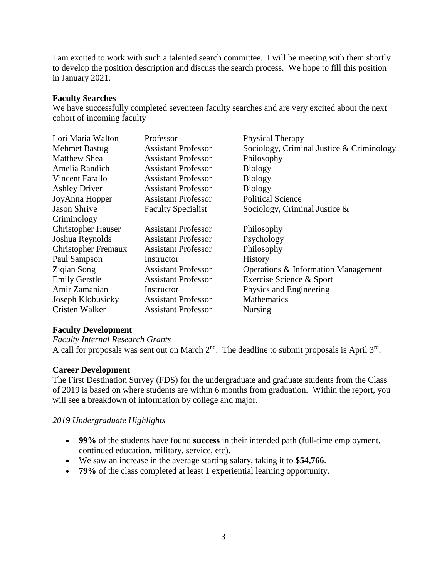I am excited to work with such a talented search committee. I will be meeting with them shortly to develop the position description and discuss the search process. We hope to fill this position in January 2021.

#### **Faculty Searches**

We have successfully completed seventeen faculty searches and are very excited about the next cohort of incoming faculty

| Lori Maria Walton          | Professor                  | Physical Therapy                          |
|----------------------------|----------------------------|-------------------------------------------|
| <b>Mehmet Bastug</b>       | <b>Assistant Professor</b> | Sociology, Criminal Justice & Criminology |
| <b>Matthew Shea</b>        | <b>Assistant Professor</b> | Philosophy                                |
| Amelia Randich             | <b>Assistant Professor</b> | <b>Biology</b>                            |
| Vincent Farallo            | <b>Assistant Professor</b> | <b>Biology</b>                            |
| <b>Ashley Driver</b>       | <b>Assistant Professor</b> | <b>Biology</b>                            |
| JoyAnna Hopper             | <b>Assistant Professor</b> | <b>Political Science</b>                  |
| <b>Jason Shrive</b>        | <b>Faculty Specialist</b>  | Sociology, Criminal Justice $\&$          |
| Criminology                |                            |                                           |
| <b>Christopher Hauser</b>  | <b>Assistant Professor</b> | Philosophy                                |
| Joshua Reynolds            | <b>Assistant Professor</b> | Psychology                                |
| <b>Christopher Fremaux</b> | <b>Assistant Professor</b> | Philosophy                                |
| Paul Sampson               | Instructor                 | <b>History</b>                            |
| Ziqian Song                | <b>Assistant Professor</b> | Operations & Information Management       |
| <b>Emily Gerstle</b>       | <b>Assistant Professor</b> | Exercise Science & Sport                  |
| Amir Zamanian              | Instructor                 | Physics and Engineering                   |
| Joseph Klobusicky          | <b>Assistant Professor</b> | <b>Mathematics</b>                        |
| Cristen Walker             | <b>Assistant Professor</b> | <b>Nursing</b>                            |

### **Faculty Development**

*Faculty Internal Research Grants*

A call for proposals was sent out on March  $2<sup>nd</sup>$ . The deadline to submit proposals is April  $3<sup>rd</sup>$ .

### **Career Development**

The First Destination Survey (FDS) for the undergraduate and graduate students from the Class of 2019 is based on where students are within 6 months from graduation. Within the report, you will see a breakdown of information by college and major.

### *2019 Undergraduate Highlights*

- **99%** of the students have found **success** in their intended path (full-time employment, continued education, military, service, etc).
- We saw an increase in the average starting salary, taking it to **\$54,766**.
- **79%** of the class completed at least 1 experiential learning opportunity.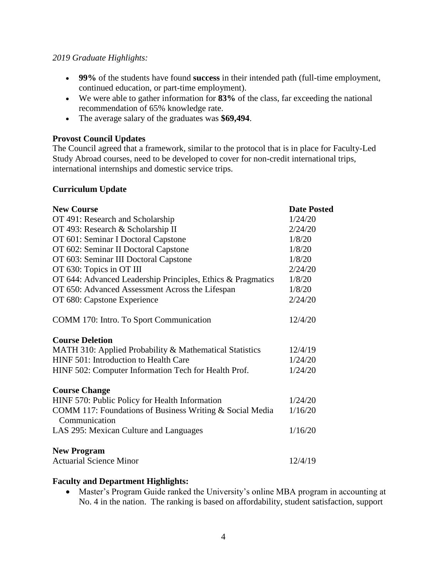### *2019 Graduate Highlights:*

- **99%** of the students have found **success** in their intended path (full-time employment, continued education, or part-time employment).
- We were able to gather information for **83%** of the class, far exceeding the national recommendation of 65% knowledge rate.
- The average salary of the graduates was **\$69,494**.

## **Provost Council Updates**

The Council agreed that a framework, similar to the protocol that is in place for Faculty-Led Study Abroad courses, need to be developed to cover for non-credit international trips, international internships and domestic service trips.

### **Curriculum Update**

| <b>New Course</b>                                                         | <b>Date Posted</b> |
|---------------------------------------------------------------------------|--------------------|
| OT 491: Research and Scholarship                                          | 1/24/20            |
| OT 493: Research & Scholarship II                                         | 2/24/20            |
| OT 601: Seminar I Doctoral Capstone                                       | 1/8/20             |
| OT 602: Seminar II Doctoral Capstone                                      | 1/8/20             |
| OT 603: Seminar III Doctoral Capstone                                     | 1/8/20             |
| OT 630: Topics in OT III                                                  | 2/24/20            |
| OT 644: Advanced Leadership Principles, Ethics & Pragmatics               | 1/8/20             |
| OT 650: Advanced Assessment Across the Lifespan                           | 1/8/20             |
| OT 680: Capstone Experience                                               | 2/24/20            |
| COMM 170: Intro. To Sport Communication                                   | 12/4/20            |
| <b>Course Deletion</b>                                                    |                    |
| MATH 310: Applied Probability & Mathematical Statistics                   | 12/4/19            |
| HINF 501: Introduction to Health Care                                     | 1/24/20            |
| HINF 502: Computer Information Tech for Health Prof.                      | 1/24/20            |
| <b>Course Change</b>                                                      |                    |
| HINF 570: Public Policy for Health Information                            | 1/24/20            |
| COMM 117: Foundations of Business Writing & Social Media<br>Communication | 1/16/20            |
| LAS 295: Mexican Culture and Languages                                    | 1/16/20            |
| <b>New Program</b>                                                        |                    |
| <b>Actuarial Science Minor</b>                                            | 12/4/19            |

### **Faculty and Department Highlights:**

 Master's Program Guide ranked the University's online MBA program in accounting at No. 4 in the nation. The ranking is based on affordability, student satisfaction, support